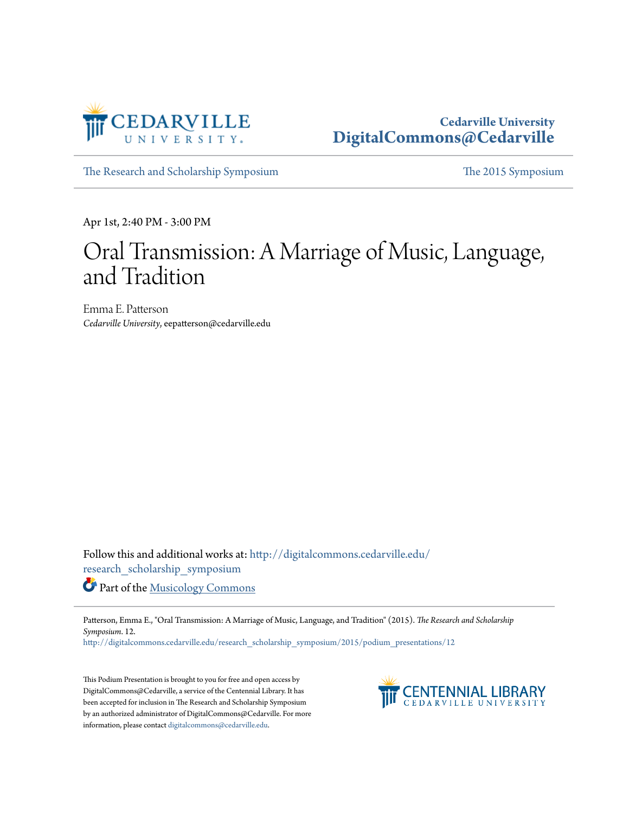

#### **Cedarville University [DigitalCommons@Cedarville](http://digitalcommons.cedarville.edu?utm_source=digitalcommons.cedarville.edu%2Fresearch_scholarship_symposium%2F2015%2Fpodium_presentations%2F12&utm_medium=PDF&utm_campaign=PDFCoverPages)**

[The Research and Scholarship Symposium](http://digitalcommons.cedarville.edu/research_scholarship_symposium?utm_source=digitalcommons.cedarville.edu%2Fresearch_scholarship_symposium%2F2015%2Fpodium_presentations%2F12&utm_medium=PDF&utm_campaign=PDFCoverPages) [The 2015 Symposium](http://digitalcommons.cedarville.edu/research_scholarship_symposium/2015?utm_source=digitalcommons.cedarville.edu%2Fresearch_scholarship_symposium%2F2015%2Fpodium_presentations%2F12&utm_medium=PDF&utm_campaign=PDFCoverPages)

Apr 1st, 2:40 PM - 3:00 PM

# Oral Transmission: A Marriage of Music, Language, and Tradition

Emma E. Patterson *Cedarville University*, eepatterson@cedarville.edu

Follow this and additional works at: [http://digitalcommons.cedarville.edu/](http://digitalcommons.cedarville.edu/research_scholarship_symposium?utm_source=digitalcommons.cedarville.edu%2Fresearch_scholarship_symposium%2F2015%2Fpodium_presentations%2F12&utm_medium=PDF&utm_campaign=PDFCoverPages) [research\\_scholarship\\_symposium](http://digitalcommons.cedarville.edu/research_scholarship_symposium?utm_source=digitalcommons.cedarville.edu%2Fresearch_scholarship_symposium%2F2015%2Fpodium_presentations%2F12&utm_medium=PDF&utm_campaign=PDFCoverPages)

Part of the [Musicology Commons](http://network.bepress.com/hgg/discipline/521?utm_source=digitalcommons.cedarville.edu%2Fresearch_scholarship_symposium%2F2015%2Fpodium_presentations%2F12&utm_medium=PDF&utm_campaign=PDFCoverPages)

Patterson, Emma E., "Oral Transmission: A Marriage of Music, Language, and Tradition" (2015). *The Research and Scholarship Symposium*. 12.

[http://digitalcommons.cedarville.edu/research\\_scholarship\\_symposium/2015/podium\\_presentations/12](http://digitalcommons.cedarville.edu/research_scholarship_symposium/2015/podium_presentations/12?utm_source=digitalcommons.cedarville.edu%2Fresearch_scholarship_symposium%2F2015%2Fpodium_presentations%2F12&utm_medium=PDF&utm_campaign=PDFCoverPages)

This Podium Presentation is brought to you for free and open access by DigitalCommons@Cedarville, a service of the Centennial Library. It has been accepted for inclusion in The Research and Scholarship Symposium by an authorized administrator of DigitalCommons@Cedarville. For more information, please contact [digitalcommons@cedarville.edu.](mailto:digitalcommons@cedarville.edu)

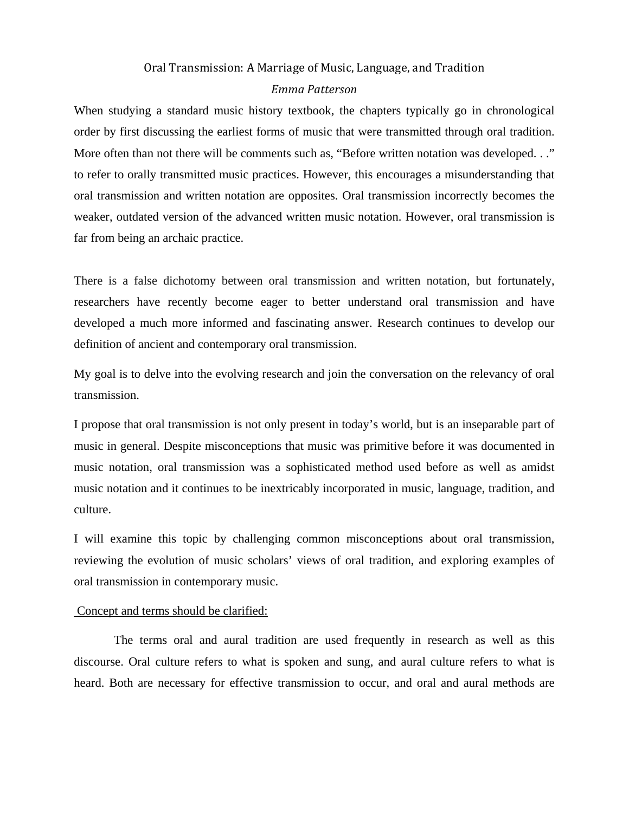## Oral Transmission: A Marriage of Music, Language, and Tradition *Emma Patterson*

When studying a standard music history textbook, the chapters typically go in chronological order by first discussing the earliest forms of music that were transmitted through oral tradition. More often than not there will be comments such as, "Before written notation was developed..." to refer to orally transmitted music practices. However, this encourages a misunderstanding that oral transmission and written notation are opposites. Oral transmission incorrectly becomes the weaker, outdated version of the advanced written music notation. However, oral transmission is far from being an archaic practice.

There is a false dichotomy between oral transmission and written notation, but fortunately, researchers have recently become eager to better understand oral transmission and have developed a much more informed and fascinating answer. Research continues to develop our definition of ancient and contemporary oral transmission.

My goal is to delve into the evolving research and join the conversation on the relevancy of oral transmission.

I propose that oral transmission is not only present in today's world, but is an inseparable part of music in general. Despite misconceptions that music was primitive before it was documented in music notation, oral transmission was a sophisticated method used before as well as amidst music notation and it continues to be inextricably incorporated in music, language, tradition, and culture.

I will examine this topic by challenging common misconceptions about oral transmission, reviewing the evolution of music scholars' views of oral tradition, and exploring examples of oral transmission in contemporary music.

#### Concept and terms should be clarified:

The terms oral and aural tradition are used frequently in research as well as this discourse. Oral culture refers to what is spoken and sung, and aural culture refers to what is heard. Both are necessary for effective transmission to occur, and oral and aural methods are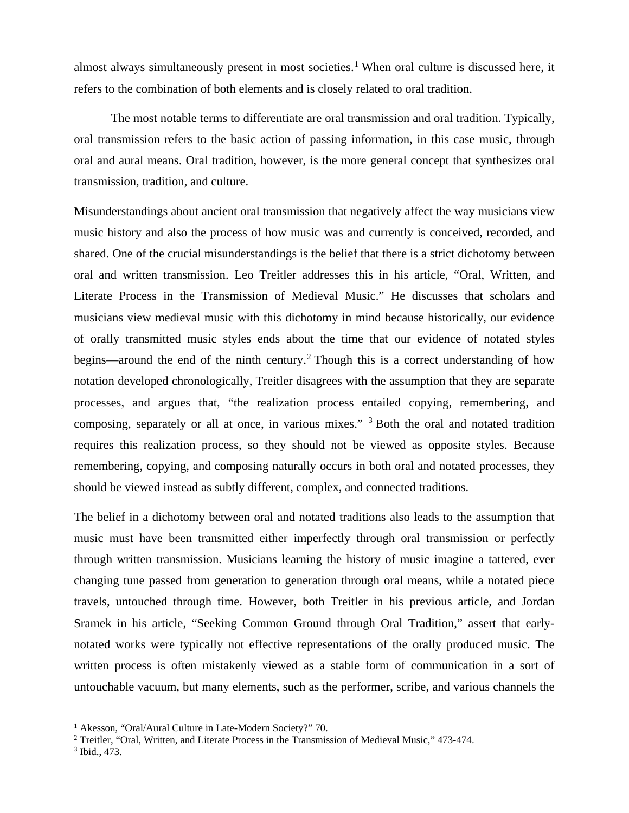almost always simultaneously present in most societies.<sup>[1](#page-2-0)</sup> When oral culture is discussed here, it refers to the combination of both elements and is closely related to oral tradition.

The most notable terms to differentiate are oral transmission and oral tradition. Typically, oral transmission refers to the basic action of passing information, in this case music, through oral and aural means. Oral tradition, however, is the more general concept that synthesizes oral transmission, tradition, and culture.

Misunderstandings about ancient oral transmission that negatively affect the way musicians view music history and also the process of how music was and currently is conceived, recorded, and shared. One of the crucial misunderstandings is the belief that there is a strict dichotomy between oral and written transmission. Leo Treitler addresses this in his article, "Oral, Written, and Literate Process in the Transmission of Medieval Music." He discusses that scholars and musicians view medieval music with this dichotomy in mind because historically, our evidence of orally transmitted music styles ends about the time that our evidence of notated styles begins—around the end of the ninth century.<sup>[2](#page-2-1)</sup> Though this is a correct understanding of how notation developed chronologically, Treitler disagrees with the assumption that they are separate processes, and argues that, "the realization process entailed copying, remembering, and composing, separately or all at once, in various mixes." [3](#page-2-2) Both the oral and notated tradition requires this realization process, so they should not be viewed as opposite styles. Because remembering, copying, and composing naturally occurs in both oral and notated processes, they should be viewed instead as subtly different, complex, and connected traditions.

The belief in a dichotomy between oral and notated traditions also leads to the assumption that music must have been transmitted either imperfectly through oral transmission or perfectly through written transmission. Musicians learning the history of music imagine a tattered, ever changing tune passed from generation to generation through oral means, while a notated piece travels, untouched through time. However, both Treitler in his previous article, and Jordan Sramek in his article, "Seeking Common Ground through Oral Tradition," assert that earlynotated works were typically not effective representations of the orally produced music. The written process is often mistakenly viewed as a stable form of communication in a sort of untouchable vacuum, but many elements, such as the performer, scribe, and various channels the

<span id="page-2-0"></span><sup>&</sup>lt;sup>1</sup> Akesson, "Oral/Aural Culture in Late-Modern Society?" 70.  $\overline{a}$ 

<span id="page-2-1"></span><sup>2</sup> Treitler, "Oral, Written, and Literate Process in the Transmission of Medieval Music," 473-474.

<span id="page-2-2"></span><sup>3</sup> Ibid., 473.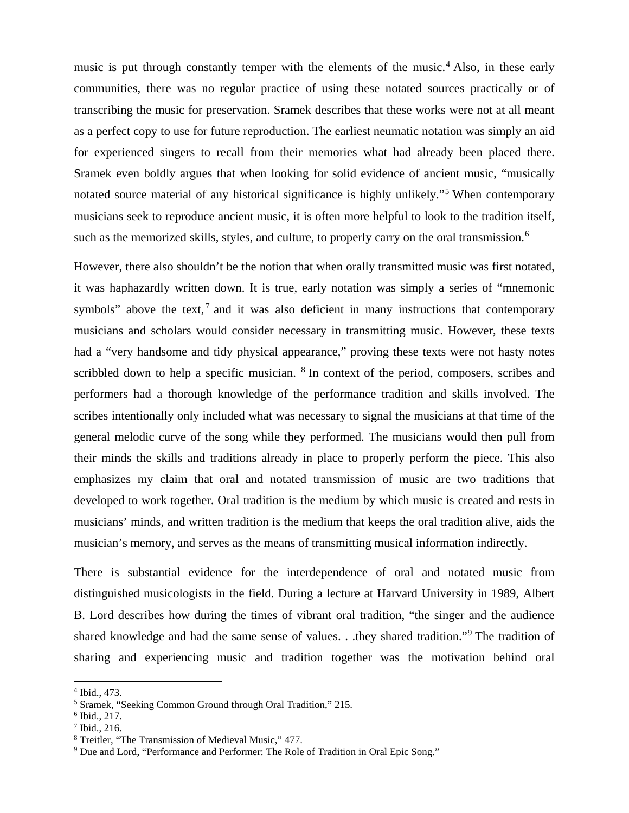music is put through constantly temper with the elements of the music.<sup>[4](#page-3-0)</sup> Also, in these early communities, there was no regular practice of using these notated sources practically or of transcribing the music for preservation. Sramek describes that these works were not at all meant as a perfect copy to use for future reproduction. The earliest neumatic notation was simply an aid for experienced singers to recall from their memories what had already been placed there. Sramek even boldly argues that when looking for solid evidence of ancient music, "musically notated source material of any historical significance is highly unlikely."<sup>[5](#page-3-1)</sup> When contemporary musicians seek to reproduce ancient music, it is often more helpful to look to the tradition itself, such as the memorized skills, styles, and culture, to properly carry on the oral transmission.<sup>[6](#page-3-2)</sup>

However, there also shouldn't be the notion that when orally transmitted music was first notated, it was haphazardly written down. It is true, early notation was simply a series of "mnemonic symbols" above the text,  $\frac{7}{1}$  $\frac{7}{1}$  $\frac{7}{1}$  and it was also deficient in many instructions that contemporary musicians and scholars would consider necessary in transmitting music. However, these texts had a "very handsome and tidy physical appearance," proving these texts were not hasty notes scribbled down to help a specific musician. <sup>[8](#page-3-4)</sup> In context of the period, composers, scribes and performers had a thorough knowledge of the performance tradition and skills involved. The scribes intentionally only included what was necessary to signal the musicians at that time of the general melodic curve of the song while they performed. The musicians would then pull from their minds the skills and traditions already in place to properly perform the piece. This also emphasizes my claim that oral and notated transmission of music are two traditions that developed to work together. Oral tradition is the medium by which music is created and rests in musicians' minds, and written tradition is the medium that keeps the oral tradition alive, aids the musician's memory, and serves as the means of transmitting musical information indirectly.

There is substantial evidence for the interdependence of oral and notated music from distinguished musicologists in the field. During a lecture at Harvard University in 1989, Albert B. Lord describes how during the times of vibrant oral tradition, "the singer and the audience shared knowledge and had the same sense of values. . .they shared tradition."[9](#page-3-5) The tradition of sharing and experiencing music and tradition together was the motivation behind oral

<sup>4</sup> Ibid., 473.  $\overline{\phantom{a}}$ 

<span id="page-3-1"></span><span id="page-3-0"></span><sup>5</sup> Sramek, "Seeking Common Ground through Oral Tradition," 215.

<span id="page-3-3"></span><span id="page-3-2"></span> $6$  Ibid., 217.

<sup>7</sup> Ibid., 216.

<span id="page-3-5"></span><span id="page-3-4"></span><sup>8</sup> Treitler, "The Transmission of Medieval Music," 477.

<sup>9</sup> Due and Lord, "Performance and Performer: The Role of Tradition in Oral Epic Song."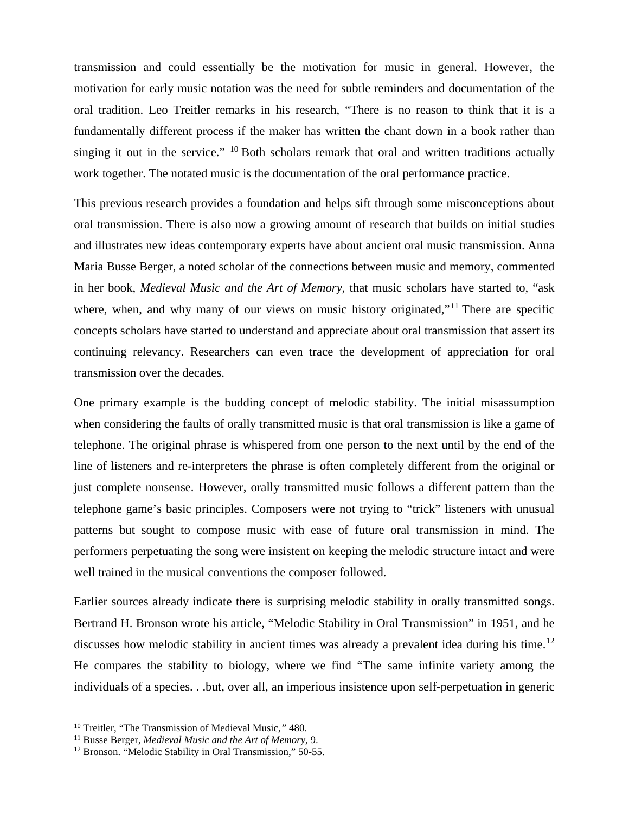transmission and could essentially be the motivation for music in general. However, the motivation for early music notation was the need for subtle reminders and documentation of the oral tradition. Leo Treitler remarks in his research, "There is no reason to think that it is a fundamentally different process if the maker has written the chant down in a book rather than singing it out in the service." <sup>[10](#page-4-0)</sup> Both scholars remark that oral and written traditions actually work together. The notated music is the documentation of the oral performance practice.

This previous research provides a foundation and helps sift through some misconceptions about oral transmission. There is also now a growing amount of research that builds on initial studies and illustrates new ideas contemporary experts have about ancient oral music transmission. Anna Maria Busse Berger, a noted scholar of the connections between music and memory, commented in her book, *Medieval Music and the Art of Memory*, that music scholars have started to, "ask where, when, and why many of our views on music history originated,"<sup>[11](#page-4-1)</sup> There are specific concepts scholars have started to understand and appreciate about oral transmission that assert its continuing relevancy. Researchers can even trace the development of appreciation for oral transmission over the decades.

One primary example is the budding concept of melodic stability. The initial misassumption when considering the faults of orally transmitted music is that oral transmission is like a game of telephone. The original phrase is whispered from one person to the next until by the end of the line of listeners and re-interpreters the phrase is often completely different from the original or just complete nonsense. However, orally transmitted music follows a different pattern than the telephone game's basic principles. Composers were not trying to "trick" listeners with unusual patterns but sought to compose music with ease of future oral transmission in mind. The performers perpetuating the song were insistent on keeping the melodic structure intact and were well trained in the musical conventions the composer followed.

Earlier sources already indicate there is surprising melodic stability in orally transmitted songs. Bertrand H. Bronson wrote his article, "Melodic Stability in Oral Transmission" in 1951, and he discusses how melodic stability in ancient times was already a prevalent idea during his time.<sup>[12](#page-4-2)</sup> He compares the stability to biology, where we find "The same infinite variety among the individuals of a species. . .but, over all, an imperious insistence upon self-perpetuation in generic

<span id="page-4-0"></span><sup>10</sup> Treitler, "The Transmission of Medieval Music,*"* 480.  $\overline{a}$ 

<span id="page-4-2"></span><span id="page-4-1"></span><sup>&</sup>lt;sup>11</sup> Busse Berger, *Medieval Music and the Art of Memory*, 9.<br><sup>12</sup> Bronson. "Melodic Stability in Oral Transmission," 50-55.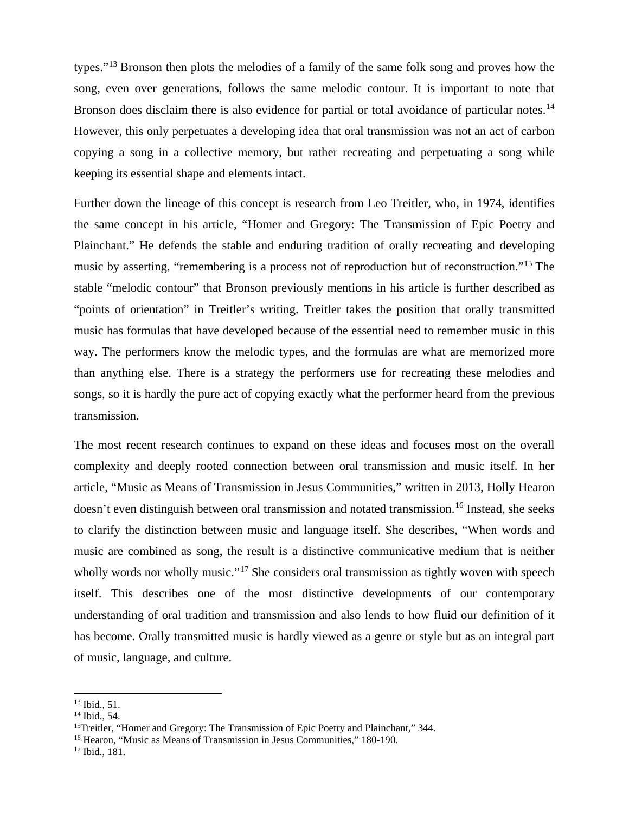types."[13](#page-5-0) Bronson then plots the melodies of a family of the same folk song and proves how the song, even over generations, follows the same melodic contour. It is important to note that Bronson does disclaim there is also evidence for partial or total avoidance of particular notes.<sup>[14](#page-5-1)</sup> However, this only perpetuates a developing idea that oral transmission was not an act of carbon copying a song in a collective memory, but rather recreating and perpetuating a song while keeping its essential shape and elements intact.

Further down the lineage of this concept is research from Leo Treitler, who, in 1974, identifies the same concept in his article, "Homer and Gregory: The Transmission of Epic Poetry and Plainchant." He defends the stable and enduring tradition of orally recreating and developing music by asserting, "remembering is a process not of reproduction but of reconstruction."[15](#page-5-2) The stable "melodic contour" that Bronson previously mentions in his article is further described as "points of orientation" in Treitler's writing. Treitler takes the position that orally transmitted music has formulas that have developed because of the essential need to remember music in this way. The performers know the melodic types, and the formulas are what are memorized more than anything else. There is a strategy the performers use for recreating these melodies and songs, so it is hardly the pure act of copying exactly what the performer heard from the previous transmission.

The most recent research continues to expand on these ideas and focuses most on the overall complexity and deeply rooted connection between oral transmission and music itself. In her article, "Music as Means of Transmission in Jesus Communities," written in 2013, Holly Hearon doesn't even distinguish between oral transmission and notated transmission.<sup>[16](#page-5-3)</sup> Instead, she seeks to clarify the distinction between music and language itself. She describes, "When words and music are combined as song, the result is a distinctive communicative medium that is neither wholly words nor wholly music."<sup>[17](#page-5-4)</sup> She considers oral transmission as tightly woven with speech itself. This describes one of the most distinctive developments of our contemporary understanding of oral tradition and transmission and also lends to how fluid our definition of it has become. Orally transmitted music is hardly viewed as a genre or style but as an integral part of music, language, and culture.

<sup>13</sup> Ibid., 51. j

<span id="page-5-1"></span><span id="page-5-0"></span><sup>14</sup> Ibid., 54.

<span id="page-5-2"></span><sup>&</sup>lt;sup>15</sup>Treitler, "Homer and Gregory: The Transmission of Epic Poetry and Plainchant," 344.

<span id="page-5-3"></span><sup>&</sup>lt;sup>16</sup> Hearon, "Music as Means of Transmission in Jesus Communities," 180-190.

<span id="page-5-4"></span><sup>17</sup> Ibid., 181.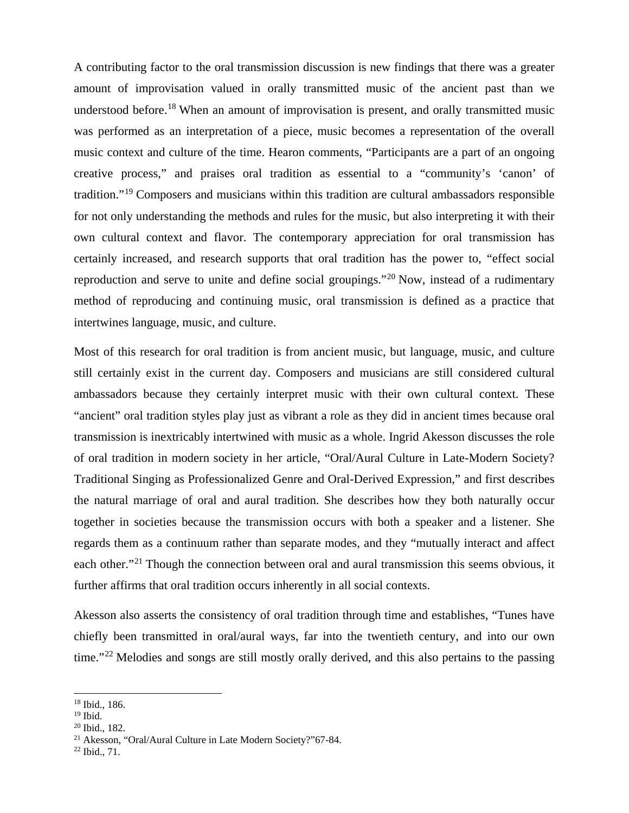A contributing factor to the oral transmission discussion is new findings that there was a greater amount of improvisation valued in orally transmitted music of the ancient past than we understood before.<sup>[18](#page-6-0)</sup> When an amount of improvisation is present, and orally transmitted music was performed as an interpretation of a piece, music becomes a representation of the overall music context and culture of the time. Hearon comments, "Participants are a part of an ongoing creative process," and praises oral tradition as essential to a "community's 'canon' of tradition."[19](#page-6-1) Composers and musicians within this tradition are cultural ambassadors responsible for not only understanding the methods and rules for the music, but also interpreting it with their own cultural context and flavor. The contemporary appreciation for oral transmission has certainly increased, and research supports that oral tradition has the power to, "effect social reproduction and serve to unite and define social groupings."<sup>[20](#page-6-2)</sup> Now, instead of a rudimentary method of reproducing and continuing music, oral transmission is defined as a practice that intertwines language, music, and culture.

Most of this research for oral tradition is from ancient music, but language, music, and culture still certainly exist in the current day. Composers and musicians are still considered cultural ambassadors because they certainly interpret music with their own cultural context. These "ancient" oral tradition styles play just as vibrant a role as they did in ancient times because oral transmission is inextricably intertwined with music as a whole. Ingrid Akesson discusses the role of oral tradition in modern society in her article, "Oral/Aural Culture in Late-Modern Society? Traditional Singing as Professionalized Genre and Oral-Derived Expression," and first describes the natural marriage of oral and aural tradition. She describes how they both naturally occur together in societies because the transmission occurs with both a speaker and a listener. She regards them as a continuum rather than separate modes, and they "mutually interact and affect each other."<sup>[21](#page-6-3)</sup> Though the connection between oral and aural transmission this seems obvious, it further affirms that oral tradition occurs inherently in all social contexts.

Akesson also asserts the consistency of oral tradition through time and establishes, "Tunes have chiefly been transmitted in oral/aural ways, far into the twentieth century, and into our own time."<sup>[22](#page-6-4)</sup> Melodies and songs are still mostly orally derived, and this also pertains to the passing

<span id="page-6-4"></span><sup>22</sup> Ibid., 71.

<sup>18</sup> Ibid., 186. j

<span id="page-6-1"></span><span id="page-6-0"></span> $19$  Ibid.

<span id="page-6-2"></span><sup>20</sup> Ibid., 182.

<span id="page-6-3"></span><sup>21</sup> Akesson, "Oral/Aural Culture in Late Modern Society?"67-84.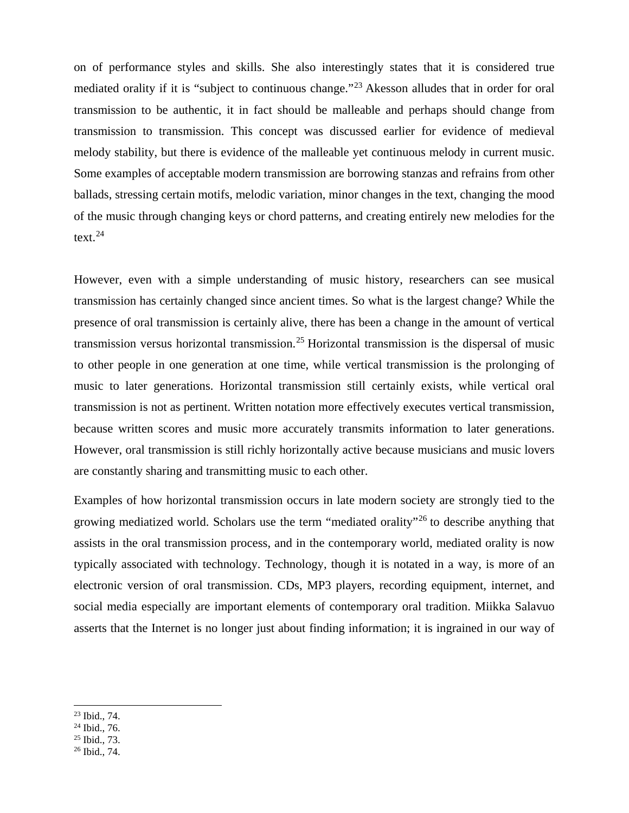on of performance styles and skills. She also interestingly states that it is considered true mediated orality if it is "subject to continuous change."[23](#page-7-0) Akesson alludes that in order for oral transmission to be authentic, it in fact should be malleable and perhaps should change from transmission to transmission. This concept was discussed earlier for evidence of medieval melody stability, but there is evidence of the malleable yet continuous melody in current music. Some examples of acceptable modern transmission are borrowing stanzas and refrains from other ballads, stressing certain motifs, melodic variation, minor changes in the text, changing the mood of the music through changing keys or chord patterns, and creating entirely new melodies for the text. [24](#page-7-1)

However, even with a simple understanding of music history, researchers can see musical transmission has certainly changed since ancient times. So what is the largest change? While the presence of oral transmission is certainly alive, there has been a change in the amount of vertical transmission versus horizontal transmission.<sup>[25](#page-7-2)</sup> Horizontal transmission is the dispersal of music to other people in one generation at one time, while vertical transmission is the prolonging of music to later generations. Horizontal transmission still certainly exists, while vertical oral transmission is not as pertinent. Written notation more effectively executes vertical transmission, because written scores and music more accurately transmits information to later generations. However, oral transmission is still richly horizontally active because musicians and music lovers are constantly sharing and transmitting music to each other.

Examples of how horizontal transmission occurs in late modern society are strongly tied to the growing mediatized world. Scholars use the term "mediated orality"[26](#page-7-3) to describe anything that assists in the oral transmission process, and in the contemporary world, mediated orality is now typically associated with technology. Technology, though it is notated in a way, is more of an electronic version of oral transmission. CDs, MP3 players, recording equipment, internet, and social media especially are important elements of contemporary oral tradition. Miikka Salavuo asserts that the Internet is no longer just about finding information; it is ingrained in our way of

- <span id="page-7-1"></span><span id="page-7-0"></span><sup>24</sup> Ibid., 76.
- <span id="page-7-2"></span><sup>25</sup> Ibid., 73.

<sup>23</sup> Ibid., 74.  $\overline{a}$ 

<span id="page-7-3"></span><sup>26</sup> Ibid., 74.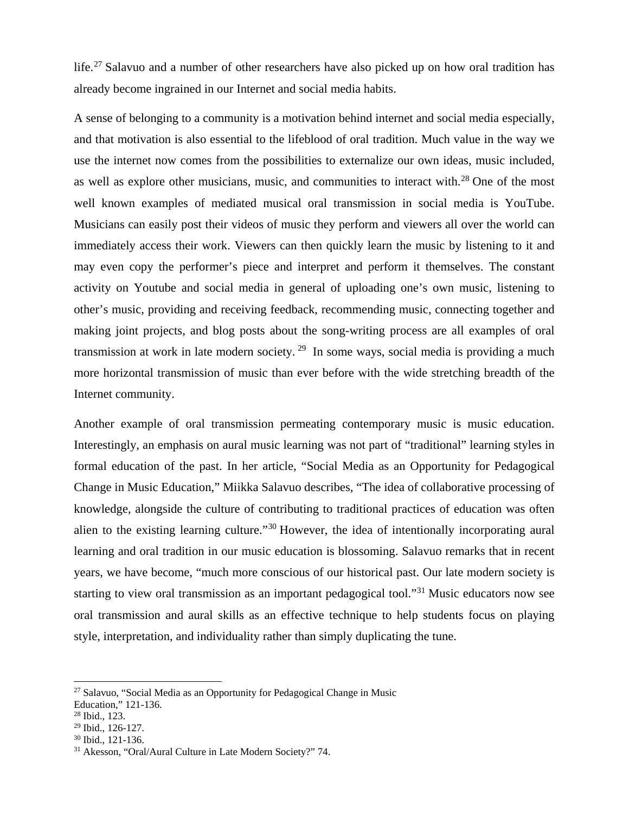life.<sup>[27](#page-8-0)</sup> Salavuo and a number of other researchers have also picked up on how oral tradition has already become ingrained in our Internet and social media habits.

A sense of belonging to a community is a motivation behind internet and social media especially, and that motivation is also essential to the lifeblood of oral tradition. Much value in the way we use the internet now comes from the possibilities to externalize our own ideas, music included, as well as explore other musicians, music, and communities to interact with.<sup>[28](#page-8-1)</sup> One of the most well known examples of mediated musical oral transmission in social media is YouTube. Musicians can easily post their videos of music they perform and viewers all over the world can immediately access their work. Viewers can then quickly learn the music by listening to it and may even copy the performer's piece and interpret and perform it themselves. The constant activity on Youtube and social media in general of uploading one's own music, listening to other's music, providing and receiving feedback, recommending music, connecting together and making joint projects, and blog posts about the song-writing process are all examples of oral transmission at work in late modern society. [29](#page-8-2) In some ways, social media is providing a much more horizontal transmission of music than ever before with the wide stretching breadth of the Internet community.

Another example of oral transmission permeating contemporary music is music education. Interestingly, an emphasis on aural music learning was not part of "traditional" learning styles in formal education of the past. In her article, "Social Media as an Opportunity for Pedagogical Change in Music Education," Miikka Salavuo describes, "The idea of collaborative processing of knowledge, alongside the culture of contributing to traditional practices of education was often alien to the existing learning culture."[30](#page-8-3) However, the idea of intentionally incorporating aural learning and oral tradition in our music education is blossoming. Salavuo remarks that in recent years, we have become, "much more conscious of our historical past. Our late modern society is starting to view oral transmission as an important pedagogical tool."[31](#page-8-4) Music educators now see oral transmission and aural skills as an effective technique to help students focus on playing style, interpretation, and individuality rather than simply duplicating the tune.

<span id="page-8-0"></span>Education," 121-136.

<sup>&</sup>lt;sup>27</sup> Salavuo, "Social Media as an Opportunity for Pedagogical Change in Music  $\overline{a}$ 

<span id="page-8-1"></span><sup>28</sup> Ibid., 123.

<span id="page-8-2"></span><sup>29</sup> Ibid., 126-127.

<span id="page-8-3"></span><sup>30</sup> Ibid., 121-136.

<span id="page-8-4"></span><sup>31</sup> Akesson, "Oral/Aural Culture in Late Modern Society?" 74.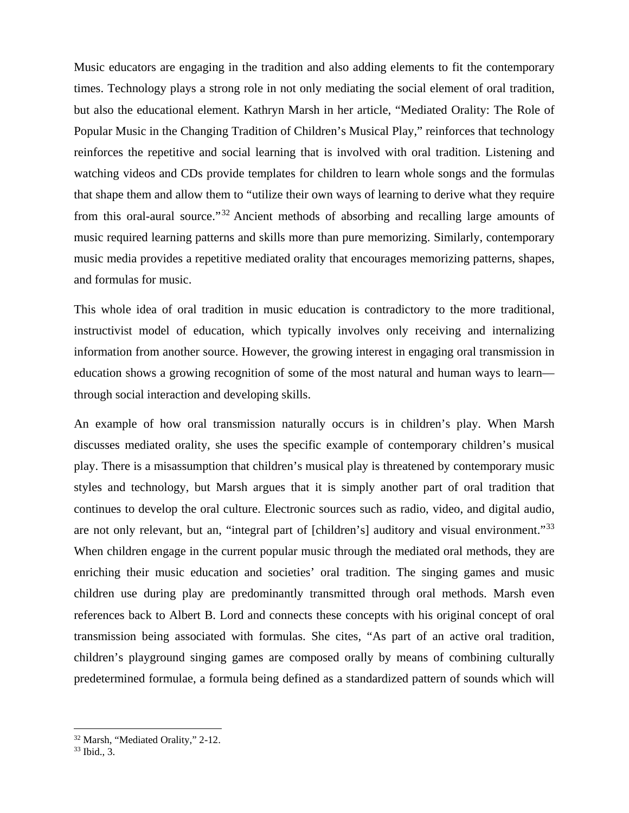Music educators are engaging in the tradition and also adding elements to fit the contemporary times. Technology plays a strong role in not only mediating the social element of oral tradition, but also the educational element. Kathryn Marsh in her article, "Mediated Orality: The Role of Popular Music in the Changing Tradition of Children's Musical Play," reinforces that technology reinforces the repetitive and social learning that is involved with oral tradition. Listening and watching videos and CDs provide templates for children to learn whole songs and the formulas that shape them and allow them to "utilize their own ways of learning to derive what they require from this oral-aural source."[32](#page-9-0) Ancient methods of absorbing and recalling large amounts of music required learning patterns and skills more than pure memorizing. Similarly, contemporary music media provides a repetitive mediated orality that encourages memorizing patterns, shapes, and formulas for music.

This whole idea of oral tradition in music education is contradictory to the more traditional, instructivist model of education, which typically involves only receiving and internalizing information from another source. However, the growing interest in engaging oral transmission in education shows a growing recognition of some of the most natural and human ways to learn through social interaction and developing skills.

An example of how oral transmission naturally occurs is in children's play. When Marsh discusses mediated orality, she uses the specific example of contemporary children's musical play. There is a misassumption that children's musical play is threatened by contemporary music styles and technology, but Marsh argues that it is simply another part of oral tradition that continues to develop the oral culture. Electronic sources such as radio, video, and digital audio, are not only relevant, but an, "integral part of [children's] auditory and visual environment."<sup>[33](#page-9-1)</sup> When children engage in the current popular music through the mediated oral methods, they are enriching their music education and societies' oral tradition. The singing games and music children use during play are predominantly transmitted through oral methods. Marsh even references back to Albert B. Lord and connects these concepts with his original concept of oral transmission being associated with formulas. She cites, "As part of an active oral tradition, children's playground singing games are composed orally by means of combining culturally predetermined formulae, a formula being defined as a standardized pattern of sounds which will

<span id="page-9-1"></span><span id="page-9-0"></span><sup>&</sup>lt;sup>32</sup> Marsh, "Mediated Orality," 2-12. į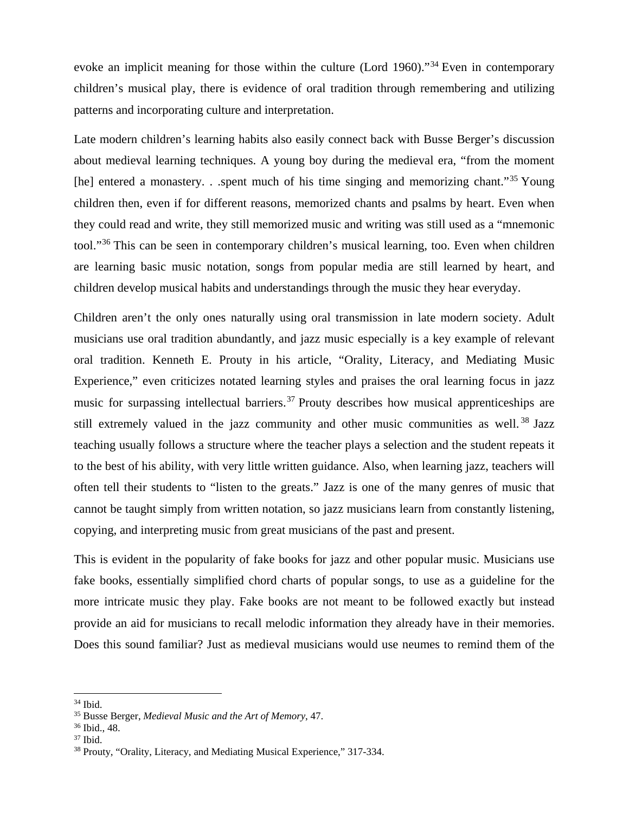evoke an implicit meaning for those within the culture (Lord 1960)."<sup>[34](#page-10-0)</sup> Even in contemporary children's musical play, there is evidence of oral tradition through remembering and utilizing patterns and incorporating culture and interpretation.

Late modern children's learning habits also easily connect back with Busse Berger's discussion about medieval learning techniques. A young boy during the medieval era, "from the moment [he] entered a monastery. . .spent much of his time singing and memorizing chant."<sup>[35](#page-10-1)</sup> Young children then, even if for different reasons, memorized chants and psalms by heart. Even when they could read and write, they still memorized music and writing was still used as a "mnemonic tool."[36](#page-10-2) This can be seen in contemporary children's musical learning, too. Even when children are learning basic music notation, songs from popular media are still learned by heart, and children develop musical habits and understandings through the music they hear everyday.

Children aren't the only ones naturally using oral transmission in late modern society. Adult musicians use oral tradition abundantly, and jazz music especially is a key example of relevant oral tradition. Kenneth E. Prouty in his article, "Orality, Literacy, and Mediating Music Experience," even criticizes notated learning styles and praises the oral learning focus in jazz music for surpassing intellectual barriers.<sup>[37](#page-10-3)</sup> Prouty describes how musical apprenticeships are still extremely valued in the jazz community and other music communities as well.<sup>[38](#page-10-4)</sup> Jazz teaching usually follows a structure where the teacher plays a selection and the student repeats it to the best of his ability, with very little written guidance. Also, when learning jazz, teachers will often tell their students to "listen to the greats." Jazz is one of the many genres of music that cannot be taught simply from written notation, so jazz musicians learn from constantly listening, copying, and interpreting music from great musicians of the past and present.

This is evident in the popularity of fake books for jazz and other popular music. Musicians use fake books, essentially simplified chord charts of popular songs, to use as a guideline for the more intricate music they play. Fake books are not meant to be followed exactly but instead provide an aid for musicians to recall melodic information they already have in their memories. Does this sound familiar? Just as medieval musicians would use neumes to remind them of the

<sup>34</sup> Ibid. į

<span id="page-10-1"></span><span id="page-10-0"></span><sup>35</sup> Busse Berger, *Medieval Music and the Art of Memory*, 47.

<span id="page-10-2"></span><sup>36</sup> Ibid., 48.

<span id="page-10-3"></span><sup>37</sup> Ibid.

<span id="page-10-4"></span><sup>38</sup> Prouty, "Orality, Literacy, and Mediating Musical Experience," 317-334.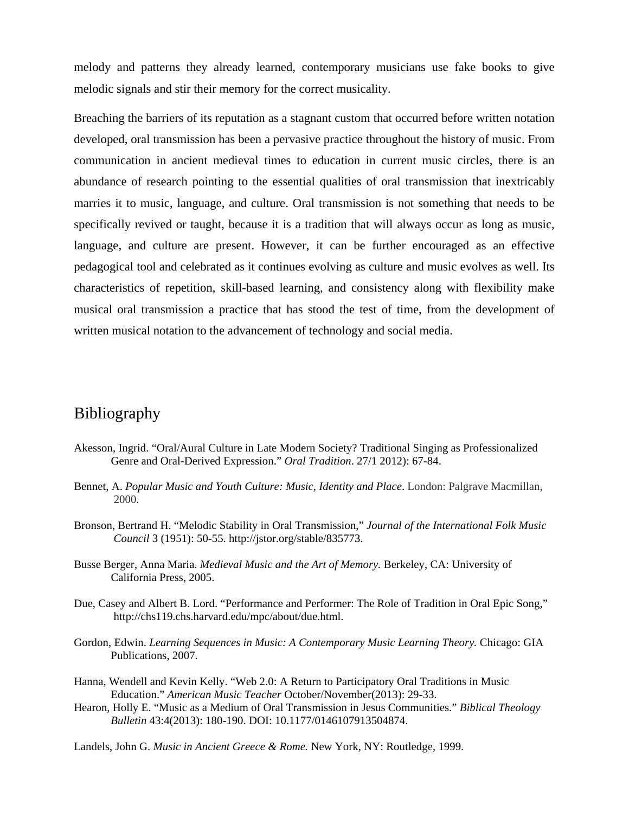melody and patterns they already learned, contemporary musicians use fake books to give melodic signals and stir their memory for the correct musicality.

Breaching the barriers of its reputation as a stagnant custom that occurred before written notation developed, oral transmission has been a pervasive practice throughout the history of music. From communication in ancient medieval times to education in current music circles, there is an abundance of research pointing to the essential qualities of oral transmission that inextricably marries it to music, language, and culture. Oral transmission is not something that needs to be specifically revived or taught, because it is a tradition that will always occur as long as music, language, and culture are present. However, it can be further encouraged as an effective pedagogical tool and celebrated as it continues evolving as culture and music evolves as well. Its characteristics of repetition, skill-based learning, and consistency along with flexibility make musical oral transmission a practice that has stood the test of time, from the development of written musical notation to the advancement of technology and social media.

## Bibliography

- Akesson, Ingrid. "Oral/Aural Culture in Late Modern Society? Traditional Singing as Professionalized Genre and Oral-Derived Expression." *Oral Tradition*. 27/1 2012): 67-84.
- Bennet, A. *Popular Music and Youth Culture: Music, Identity and Place*. London: Palgrave Macmillan, 2000.
- Bronson, Bertrand H. "Melodic Stability in Oral Transmission," *Journal of the International Folk Music Council* 3 (1951): 50-55. [http://jstor.org/stable/835773.](http://jstor.org/stable/835773)
- Busse Berger, Anna Maria. *Medieval Music and the Art of Memory.* Berkeley, CA: University of California Press, 2005.
- Due, Casey and Albert B. Lord. "Performance and Performer: The Role of Tradition in Oral Epic Song," [http://chs119.chs.harvard.edu/mpc/about/due.html.](http://chs119.chs.harvard.edu/mpc/about/due.html)
- Gordon, Edwin. *Learning Sequences in Music: A Contemporary Music Learning Theory.* Chicago: GIA Publications, 2007.
- Hanna, Wendell and Kevin Kelly. "Web 2.0: A Return to Participatory Oral Traditions in Music Education." *American Music Teacher* October/November(2013): 29-33.
- Hearon, Holly E. "Music as a Medium of Oral Transmission in Jesus Communities." *Biblical Theology Bulletin* 43:4(2013): 180-190. DOI: 10.1177/0146107913504874.
- Landels, John G. *Music in Ancient Greece & Rome.* New York, NY: Routledge, 1999.